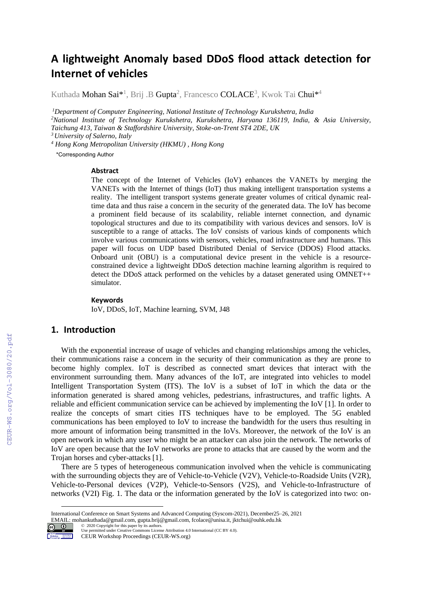# **A lightweight Anomaly based DDoS flood attack detection for Internet of vehicles**

Kuthada **Mohan Sai**\*<sup>1</sup>, Brij .B **Gupta**<sup>2</sup>, Francesco **COLACE**3, Kwok Tai **Chui**\*<sup>4</sup>

*Department of Computer Engineering, National Institute of Technology Kurukshetra, India National Institute of Technology Kurukshetra, Kurukshetra, Haryana 136119, India, & Asia University, Taichung 413, Taiwan & Staffordshire University, Stoke-on-Trent ST4 2DE, UK University of Salerno, Italy*

*<sup>4</sup> Hong Kong Metropolitan University (HKMU) , Hong Kong*

\*Corresponding Author

#### **Abstract**

The concept of the Internet of Vehicles (IoV) enhances the VANETs by merging the VANETs with the Internet of things (IoT) thus making intelligent transportation systems a reality. The intelligent transport systems generate greater volumes of critical dynamic realtime data and thus raise a concern in the security of the generated data. The IoV has become a prominent field because of its scalability, reliable internet connection, and dynamic topological structures and due to its compatibility with various devices and sensors. IoV is susceptible to a range of attacks. The IoV consists of various kinds of components which involve various communications with sensors, vehicles, road infrastructure and humans. This paper will focus on UDP based Distributed Denial of Service (DDOS) Flood attacks. Onboard unit (OBU) is a computational device present in the vehicle is a resourceconstrained device a lightweight DDoS detection machine learning algorithm is required to detect the DDoS attack performed on the vehicles by a dataset generated using OMNET++ simulator.

#### **Keywords 1**

IoV, DDoS, IoT, Machine learning, SVM, J48

# **1. Introduction**

With the exponential increase of usage of vehicles and changing relationships among the vehicles, their communications raise a concern in the security of their communication as they are prone to become highly complex. IoT is described as connected smart devices that interact with the environment surrounding them. Many advances of the IoT, are integrated into vehicles to model Intelligent Transportation System (ITS). The IoV is a subset of IoT in which the data or the information generated is shared among vehicles, pedestrians, infrastructures, and traffic lights. A reliable and efficient communication service can be achieved by implementing the IoV [\[1\].](#page--1-0) In order to realize the concepts of smart cities ITS techniques have to be employed. The 5G enabled communications has been employed to IoV to increase the bandwidth for the users thus resulting in more amount of information being transmitted in the IoVs. Moreover, the network of the IoV is an open network in which any user who might be an attacker can also join the network. The networks of IoV are open because that the IoV networks are prone to attacks that are caused by the worm and the Trojan horses and cyber-attacks [\[1\].](#page--1-0)

There are 5 types of heterogeneous communication involved when the vehicle is communicating with the surrounding objects they are of Vehicle-to-Vehicle (V2V), Vehicle-to-Roadside Units (V2R), Vehicle-to-Personal devices (V2P), Vehicle-to-Sensors (V2S), and Vehicle-to-Infrastructure of networks (V2I) Fig. 1. The data or the information generated by the IoV is categorized into two: on-

EMAIL: mohankuthada@gmail.com, gupta.brij@gmail.com, fcolace@unisa.it, jktchui@ouhk.edu.hk ©️ 2020 Copyright for this paper by its authors.



Use permitted under Creative Commons License Attribution 4.0 International (CC BY 4.0).

International Conference on Smart Systems and Advanced Computing (Syscom-2021), December25–26, 2021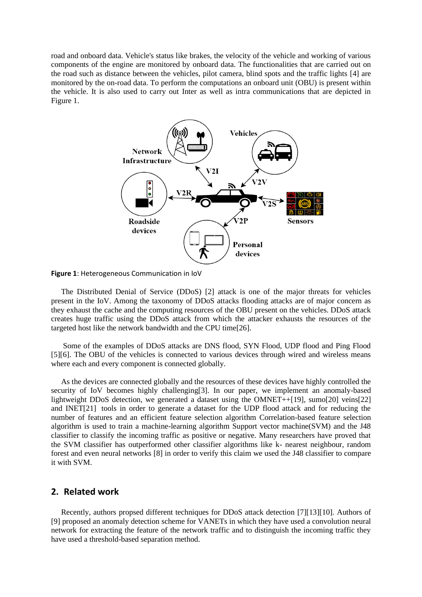road and onboard data. Vehicle's status like brakes, the velocity of the vehicle and working of various components of the engine are monitored by onboard data. The functionalities that are carried out on the road such as distance between the vehicles, pilot camera, blind spots and the traffic lights [\[4\]](#page-6-0) are monitored by the on-road data. To perform the computations an onboard unit (OBU) is present within the vehicle. It is also used to carry out Inter as well as intra communications that are depicted in Figure 1.



**Figure 1**: Heterogeneous Communication in IoV

The Distributed Denial of Service (DDoS) [\[2\]](#page-6-1) attack is one of the major threats for vehicles present in the IoV. Among the taxonomy of DDoS attacks flooding attacks are of major concern as they exhaust the cache and the computing resources of the OBU present on the vehicles. DDoS attack creates huge traffic using the DDoS attack from which the attacker exhausts the resources of the targeted host like the network bandwidth and the CPU tim[e\[26\].](#page-7-0)

Some of the examples of DDoS attacks are DNS flood, SYN Flood, UDP flood and Ping Flood [\[5\]](#page-6-2)[\[6\].](#page-6-3) The OBU of the vehicles is connected to various devices through wired and wireless means where each and every component is connected globally.

As the devices are connected globally and the resources of these devices have highly controlled the security of IoV becomes highly challengin[g\[3\].](#page-6-4) In our paper, we implement an anomaly-based lightweight DDoS detection, we generated a dataset using the OMNET+[+\[19\],](#page-7-1) sum[o\[20\]](#page-7-2) vein[s\[22\]](#page-7-3) and INE[T\[21\]](#page-7-4) tools in order to generate a dataset for the UDP flood attack and for reducing the number of features and an efficient feature selection algorithm Correlation-based feature selection algorithm is used to train a machine-learning algorithm Support vector machine(SVM) and the J48 classifier to classify the incoming traffic as positive or negative. Many researchers have proved that the SVM classifier has outperformed other classifier algorithms like k- nearest neighbour, random forest and even neural networks [\[8\]](#page-6-5) in order to verify this claim we used the J48 classifier to compare it with SVM.

#### **2. Related work**

Recently, authors propsed different techniques for DDoS attack detection [\[7\]](#page-6-6)[\[13\]](#page-7-5)[\[10\].](#page-6-7) Authors of [\[9\]](#page-6-8) proposed an anomaly detection scheme for VANETs in which they have used a convolution neural network for extracting the feature of the network traffic and to distinguish the incoming traffic they have used a threshold-based separation method.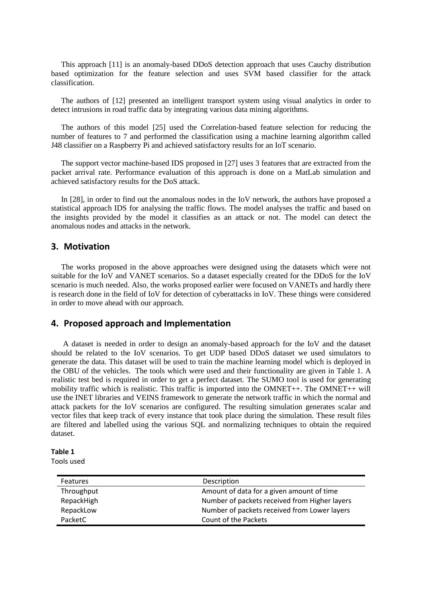This approach [\[11\]](#page-7-6) is an anomaly-based DDoS detection approach that uses Cauchy distribution based optimization for the feature selection and uses SVM based classifier for the attack classification.

The authors of [\[12\]](#page-7-7) presented an intelligent transport system using visual analytics in order to detect intrusions in road traffic data by integrating various data mining algorithms.

The authors of this model [\[25\]](#page-7-8) used the Correlation-based feature selection for reducing the number of features to 7 and performed the classification using a machine learning algorithm called J48 classifier on a Raspberry Pi and achieved satisfactory results for an IoT scenario.

The support vector machine-based IDS proposed in [\[27\]](#page-7-9) uses 3 features that are extracted from the packet arrival rate. Performance evaluation of this approach is done on a MatLab simulation and achieved satisfactory results for the DoS attack.

In [\[28\],](#page-7-10) in order to find out the anomalous nodes in the IoV network, the authors have proposed a statistical approach IDS for analysing the traffic flows. The model analyses the traffic and based on the insights provided by the model it classifies as an attack or not. The model can detect the anomalous nodes and attacks in the network.

# **3. Motivation**

The works proposed in the above approaches were designed using the datasets which were not suitable for the IoV and VANET scenarios. So a dataset especially created for the DDoS for the IoV scenario is much needed. Also, the works proposed earlier were focused on VANETs and hardly there is research done in the field of IoV for detection of cyberattacks in IoV. These things were considered in order to move ahead with our approach.

# **4. Proposed approach and Implementation**

A dataset is needed in order to design an anomaly-based approach for the IoV and the dataset should be related to the IoV scenarios. To get UDP based DDoS dataset we used simulators to generate the data. This dataset will be used to train the machine learning model which is deployed in the OBU of the vehicles. The tools which were used and their functionality are given in Table 1. A realistic test bed is required in order to get a perfect dataset. The SUMO tool is used for generating mobility traffic which is realistic. This traffic is imported into the OMNET++. The OMNET++ will use the INET libraries and VEINS framework to generate the network traffic in which the normal and attack packets for the IoV scenarios are configured. The resulting simulation generates scalar and vector files that keep track of every instance that took place during the simulation. These result files are filtered and labelled using the various SQL and normalizing techniques to obtain the required dataset.

#### **Table 1**

Tools used

| <b>Features</b> | Description                                   |
|-----------------|-----------------------------------------------|
| Throughput      | Amount of data for a given amount of time     |
| RepackHigh      | Number of packets received from Higher layers |
| RepackLow       | Number of packets received from Lower layers  |
| PacketC         | Count of the Packets                          |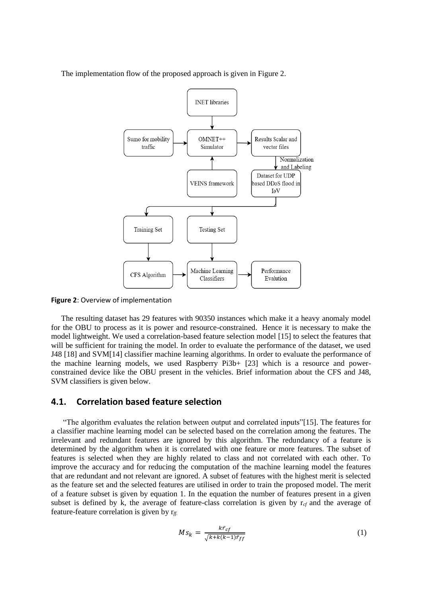The implementation flow of the proposed approach is given in Figure 2.



**Figure 2**: Overview of implementation

The resulting dataset has 29 features with 90350 instances which make it a heavy anomaly model for the OBU to process as it is power and resource-constrained. Hence it is necessary to make the model lightweight. We used a correlation-based feature selection model [\[15\]](#page-7-11) to select the features that will be sufficient for training the model. In order to evaluate the performance of the dataset, we used J48 [\[18\]](#page-7-12) and SV[M\[14\]](#page-7-13) classifier machine learning algorithms. In order to evaluate the performance of the machine learning models, we used Raspberry Pi3b+ [\[23\]](#page-7-14) which is a resource and powerconstrained device like the OBU present in the vehicles. Brief information about the CFS and J48, SVM classifiers is given below.

# **4.1. Correlation based feature selection**

"The algorithm evaluates the relation between output and correlated inputs["\[15\].](#page-7-11) The features for a classifier machine learning model can be selected based on the correlation among the features. The irrelevant and redundant features are ignored by this algorithm. The redundancy of a feature is determined by the algorithm when it is correlated with one feature or more features. The subset of features is selected when they are highly related to class and not correlated with each other. To improve the accuracy and for reducing the computation of the machine learning model the features that are redundant and not relevant are ignored. A subset of features with the highest merit is selected as the feature set and the selected features are utilised in order to train the proposed model. The merit of a feature subset is given by equation 1. In the equation the number of features present in a given subset is defined by k, the average of feature-class correlation is given by  $r_{cf}$  and the average of feature-feature correlation is given by r*ff.* 

$$
M_{k} = \frac{k\bar{r}_{cf}}{\sqrt{k + k(k-1)\bar{r}_{ff}}}
$$
(1)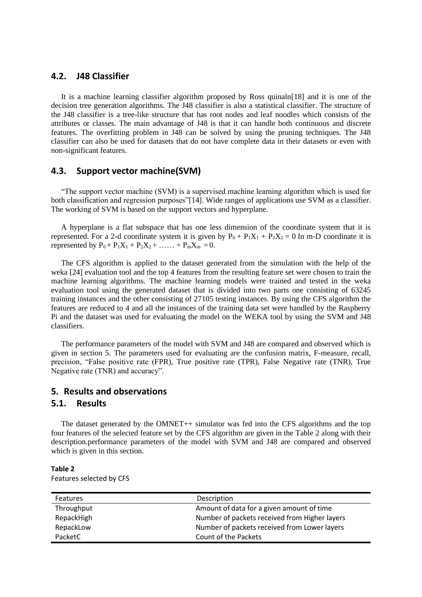# **4.2. J48 Classifier**

It is a machine learning classifier algorithm proposed by Ross quinal[n\[18\]](#page-7-12) and it is one of the decision tree generation algorithms. The J48 classifier is also a statistical classifier. The structure of the J48 classifier is a tree-like structure that has root nodes and leaf noodles which consists of the attributes or classes. The main advantage of J48 is that it can handle both continuous and discrete features. The overfitting problem in J48 can be solved by using the pruning techniques. The J48 classifier can also be used for datasets that do not have complete data in their datasets or even with non-significant features.

# **4.3. Support vector machine(SVM)**

"The support vector machine (SVM) is a supervised machine learning algorithm which is used for both classification and regression purposes["\[14\].](#page-7-13) Wide ranges of applications use SVM as a classifier. The working of SVM is based on the support vectors and hyperplane.

A hyperplane is a flat subspace that has one less dimension of the coordinate system that it is represented. For a 2-d coordinate system it is given by  $P_0 + P_1X_1 + P_2X_2 = 0$  In m-D coordinate it is represented by  $P_0 + P_1X_1 + P_2X_2 + \ldots + P_mX_m = 0$ .

The CFS algorithm is applied to the dataset generated from the simulation with the help of the weka [\[24\]](#page-7-15) evaluation tool and the top 4 features from the resulting feature set were chosen to train the machine learning algorithms. The machine learning models were trained and tested in the weka evaluation tool using the generated dataset that is divided into two parts one consisting of 63245 training instances and the other consisting of 27105 testing instances. By using the CFS algorithm the features are reduced to 4 and all the instances of the training data set were handled by the Raspberry Pi and the dataset was used for evaluating the model on the WEKA tool by using the SVM and J48 classifiers.

The performance parameters of the model with SVM and J48 are compared and observed which is given in section 5. The parameters used for evaluating are the confusion matrix, F-measure, recall, precision, "False positive rate (FPR), True positive rate (TPR), False Negative rate (TNR), True Negative rate (TNR) and accuracy".

### **5. Results and observations**

### **5.1. Results**

The dataset generated by the OMNET++ simulator was fed into the CFS algorithms and the top four features of the selected feature set by the CFS algorithm are given in the Table 2 along with their description.performance parameters of the model with SVM and J48 are compared and observed which is given in this section.

| <b>Features</b> | Description                                   |
|-----------------|-----------------------------------------------|
| Throughput      | Amount of data for a given amount of time     |
| RepackHigh      | Number of packets received from Higher layers |
| RepackLow       | Number of packets received from Lower layers  |
| PacketC         | Count of the Packets                          |

**Table 2** Features selected by CFS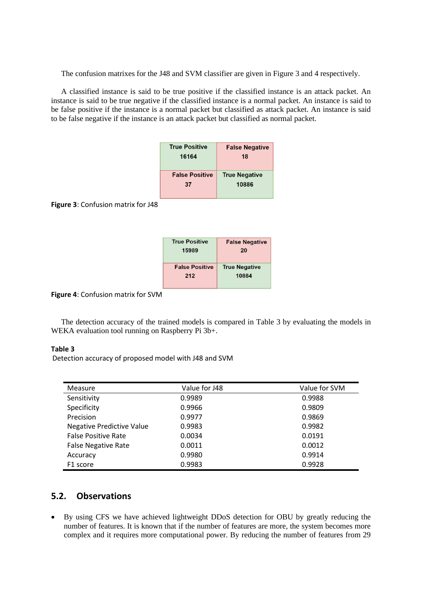The confusion matrixes for the J48 and SVM classifier are given in Figure 3 and 4 respectively.

A classified instance is said to be true positive if the classified instance is an attack packet. An instance is said to be true negative if the classified instance is a normal packet. An instance is said to be false positive if the instance is a normal packet but classified as attack packet. An instance is said to be false negative if the instance is an attack packet but classified as normal packet.

| <b>True Positive</b>  | <b>False Negative</b> |
|-----------------------|-----------------------|
| 16164                 | 18                    |
| <b>False Positive</b> | <b>True Negative</b>  |
| 37                    | 10886                 |

**Figure 3**: Confusion matrix for J48

| <b>True Positive</b><br>15989 | <b>False Negative</b><br>20 |
|-------------------------------|-----------------------------|
| <b>False Positive</b>         | <b>True Negative</b>        |
| 212                           | 10884                       |

**Figure 4**: Confusion matrix for SVM

The detection accuracy of the trained models is compared in Table 3 by evaluating the models in WEKA evaluation tool running on Raspberry Pi 3b+.

### **Table 3**

Detection accuracy of proposed model with J48 and SVM

| Measure                          | Value for J48 | Value for SVM |
|----------------------------------|---------------|---------------|
| Sensitivity                      | 0.9989        | 0.9988        |
| Specificity                      | 0.9966        | 0.9809        |
| Precision                        | 0.9977        | 0.9869        |
| <b>Negative Predictive Value</b> | 0.9983        | 0.9982        |
| <b>False Positive Rate</b>       | 0.0034        | 0.0191        |
| <b>False Negative Rate</b>       | 0.0011        | 0.0012        |
| Accuracy                         | 0.9980        | 0.9914        |
| F1 score                         | 0.9983        | 0.9928        |

# **5.2. Observations**

• By using CFS we have achieved lightweight DDoS detection for OBU by greatly reducing the number of features. It is known that if the number of features are more, the system becomes more complex and it requires more computational power. By reducing the number of features from 29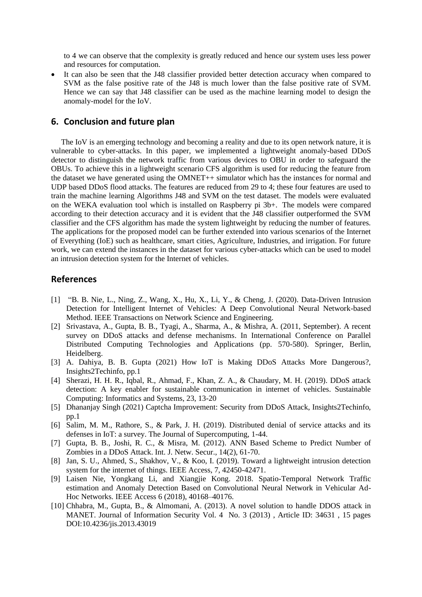to 4 we can observe that the complexity is greatly reduced and hence our system uses less power and resources for computation.

It can also be seen that the J48 classifier provided better detection accuracy when compared to SVM as the false positive rate of the J48 is much lower than the false positive rate of SVM. Hence we can say that J48 classifier can be used as the machine learning model to design the anomaly-model for the IoV.

# **6. Conclusion and future plan**

The IoV is an emerging technology and becoming a reality and due to its open network nature, it is vulnerable to cyber-attacks. In this paper, we implemented a lightweight anomaly-based DDoS detector to distinguish the network traffic from various devices to OBU in order to safeguard the OBUs. To achieve this in a lightweight scenario CFS algorithm is used for reducing the feature from the dataset we have generated using the OMNET++ simulator which has the instances for normal and UDP based DDoS flood attacks. The features are reduced from 29 to 4; these four features are used to train the machine learning Algorithms J48 and SVM on the test dataset. The models were evaluated on the WEKA evaluation tool which is installed on Raspberry pi 3b+. The models were compared according to their detection accuracy and it is evident that the J48 classifier outperformed the SVM classifier and the CFS algorithm has made the system lightweight by reducing the number of features. The applications for the proposed model can be further extended into various scenarios of the Internet of Everything (IoE) such as healthcare, smart cities, Agriculture, Industries, and irrigation. For future work, we can extend the instances in the dataset for various cyber-attacks which can be used to model an intrusion detection system for the Internet of vehicles.

# **References**

- [1] "B. B. Nie, L., Ning, Z., Wang, X., Hu, X., Li, Y., & Cheng, J. (2020). Data-Driven Intrusion Detection for Intelligent Internet of Vehicles: A Deep Convolutional Neural Network-based Method. IEEE Transactions on Network Science and Engineering.
- <span id="page-6-1"></span>[2] Srivastava, A., Gupta, B. B., Tyagi, A., Sharma, A., & Mishra, A. (2011, September). A recent survey on DDoS attacks and defense mechanisms. In International Conference on Parallel Distributed Computing Technologies and Applications (pp. 570-580). Springer, Berlin, Heidelberg.
- <span id="page-6-4"></span>[3] A. Dahiya, B. B. Gupta (2021) How IoT is Making DDoS Attacks More Dangerous?, Insights2Techinfo, pp.1
- <span id="page-6-0"></span>[4] Sherazi, H. H. R., Iqbal, R., Ahmad, F., Khan, Z. A., & Chaudary, M. H. (2019). DDoS attack detection: A key enabler for sustainable communication in internet of vehicles. Sustainable Computing: Informatics and Systems, 23, 13-20
- <span id="page-6-2"></span>[5] Dhananjay Singh (2021) Captcha Improvement: Security from DDoS Attack, Insights2Techinfo, pp.1
- <span id="page-6-3"></span>[6] Salim, M. M., Rathore, S., & Park, J. H. (2019). Distributed denial of service attacks and its defenses in IoT: a survey. The Journal of Supercomputing, 1-44.
- <span id="page-6-6"></span>[7] Gupta, B. B., Joshi, R. C., & Misra, M. (2012). ANN Based Scheme to Predict Number of Zombies in a DDoS Attack. Int. J. Netw. Secur., 14(2), 61-70.
- <span id="page-6-5"></span>[8] Jan, S. U., Ahmed, S., Shakhov, V., & Koo, I. (2019). Toward a lightweight intrusion detection system for the internet of things. IEEE Access, 7, 42450-42471.
- <span id="page-6-8"></span>[9] Laisen Nie, Yongkang Li, and Xiangjie Kong. 2018. Spatio-Temporal Network Traffic estimation and Anomaly Detection Based on Convolutional Neural Network in Vehicular Ad-Hoc Networks. IEEE Access 6 (2018), 40168–40176.
- <span id="page-6-7"></span>[10] Chhabra, M., Gupta, B., & Almomani, A. (2013). A novel solution to handle DDOS attack in MANET. Journal of Information Security Vol. 4 No. 3 (2013) , Article ID: 34631 , 15 pages DOI:10.4236/jis.2013.43019